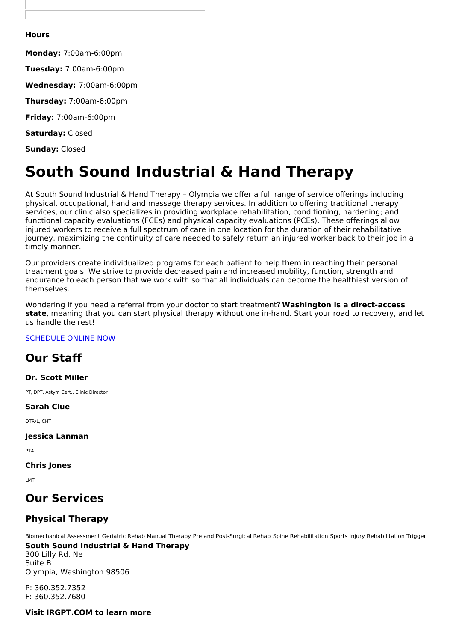#### **Hours**

**Monday:** 7:00am-6:00pm

**Tuesday:** 7:00am-6:00pm

**Wednesday:** 7:00am-6:00pm

**Thursday:** 7:00am-6:00pm

**Friday:** 7:00am-6:00pm

**Saturday:** Closed

**Sunday:** Closed

# **South Sound Industrial & Hand Therapy**

At South Sound Industrial & Hand Therapy – Olympia we offer a full range of service offerings including physical, occupational, hand and massage therapy services. In addition to offering traditional therapy services, our clinic also specializes in providing workplace rehabilitation, conditioning, hardening; and functional capacity evaluations (FCEs) and physical capacity evaluations (PCEs). These offerings allow injured workers to receive a full spectrum of care in one location for the duration of their rehabilitative journey, maximizing the continuity of care needed to safely return an injured worker back to their job in a timely manner.

Our providers create individualized programs for each patient to help them in reaching their personal treatment goals. We strive to provide decreased pain and increased mobility, function, strength and endurance to each person that we work with so that all individuals can become the healthiest version of themselves.

Wondering if you need a referral from your doctor to start treatment? **Washington is a direct-access state**, meaning that you can start physical therapy without one in-hand. Start your road to recovery, and let us handle the rest!

[SCHEDULE](https://listings.betterhealthcare.co/clinic-detail/south-sound-industrial--hand-therapy/9175?utm_source=client&utm_medium=website&utm_campaign=3672) ONLINE NOW

## **Our Staff**

#### **Dr. Scott Miller**

PT, DPT, Astym Cert., Clinic Director

#### **Sarah Clue**

OTR/L, CHT

**Jessica Lanman**

PTA

**Chris Jones**

LMT

# **Our Services**

## **Physical Therapy**

Biomechanical Assessment Geriatric Rehab Manual Therapy Pre and Post-Surgical Rehab Spine Rehabilitation Sports Injury Rehabilitation Trigger

**South Sound Industrial & Hand Therapy** 300 Lilly Rd. Ne Suite B Olympia, Washington 98506

P: 360.352.7352 F: 360.352.7680

**Visit IRGPT.COM to learn more**